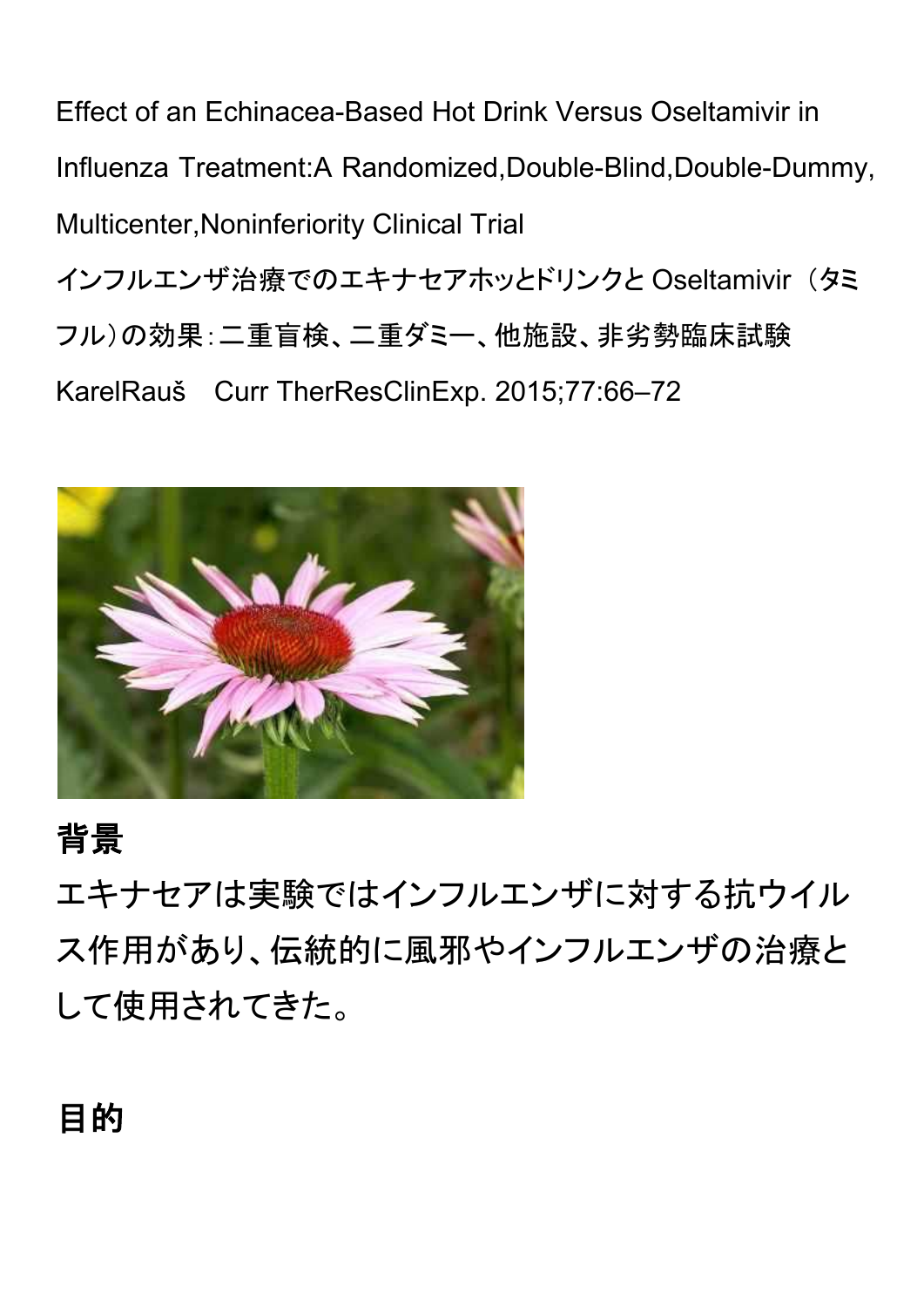Effect of an Echinacea-Based Hot Drink Versus Oseltamivir in Influenza Treatment:A Randomized,Double-Blind,Double-Dummy, Multicenter,Noninferiority Clinical Trial インフルエンザ治療でのエキナセアホッとドリンクと Oseltamivir (タミ フル)の効果:二重盲検、二重ダミー、他施設、非劣勢臨床試験 KarelRauš Curr TherResClinExp. 2015;77:66–72



## 背景

エキナセアは実験ではインフルエンザに対する抗ウイル ス作用があり、伝統的に風邪やインフルエンザの治療と して使用されてきた。

## 目的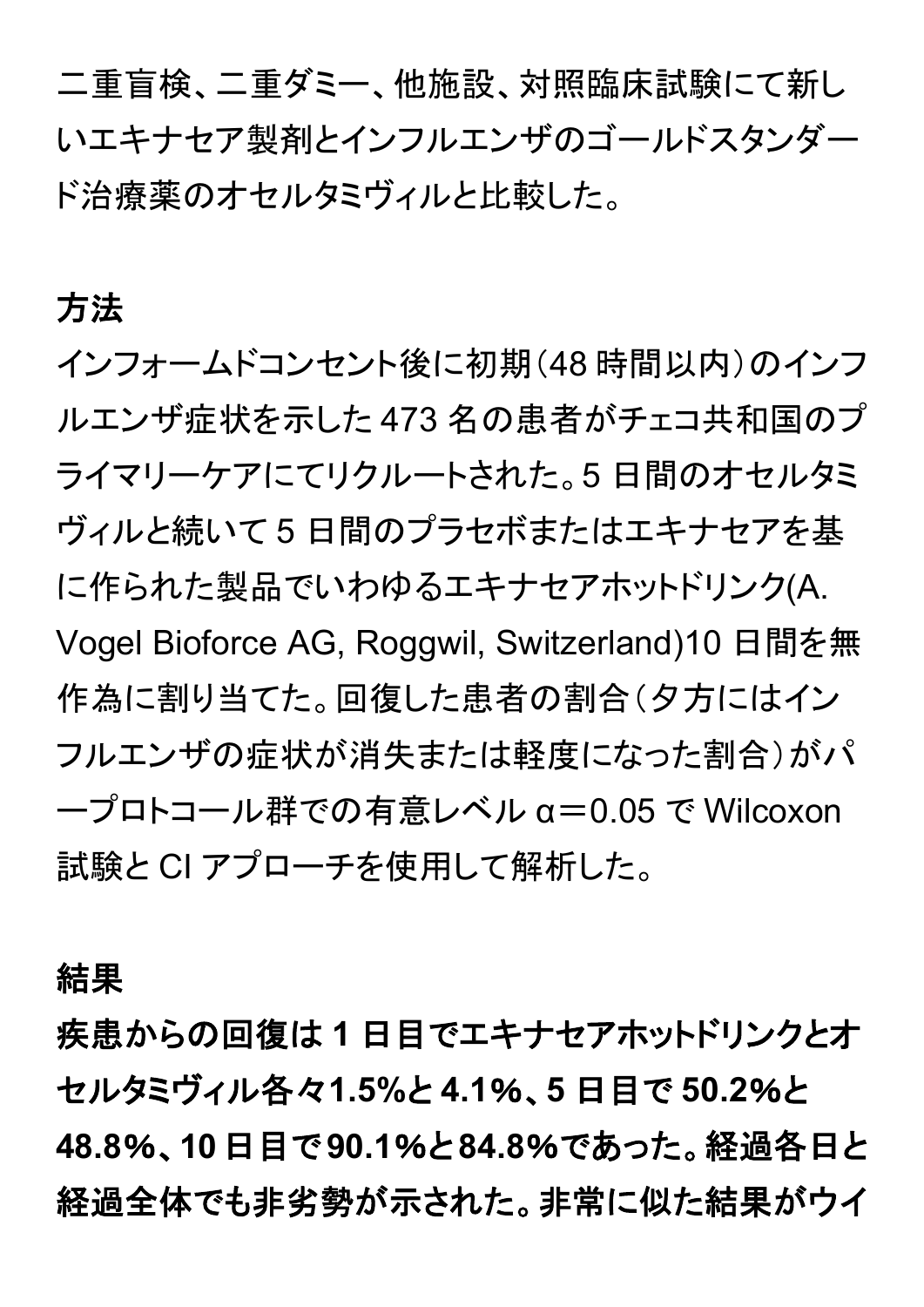二重盲検、二重ダミー、他施設、対照臨床試験にて新し いエキナセア製剤とインフルエンザのゴールドスタンダー ド治療薬のオセルタミヴィルと比較した。

#### 方法

インフォームドコンセント後に初期(48 時間以内)のインフ ルエンザ症状を示した 473 名の患者がチェコ共和国のプ ライマリーケアにてリクルートされた。5 日間のオセルタミ ヴィルと続いて 5 日間のプラセボまたはエキナセアを基 に作られた製品でいわゆるエキナセアホットドリンク(A. Vogel Bioforce AG, Roggwil, Switzerland)10 日間を無 作為に割り当てた。回復した患者の割合(タ方にはイン フルエンザの症状が消失または軽度になった割合)がパ ープロトコール群での有意レベル α=0.05 で Wilcoxon 試験と CI アプローチを使用して解析した。

結果

疾患からの回復は **1** 日目でエキナセアホットドリンクとオ セルタミヴィル各々**1.5%**と **4.1**%、**5** 日目で **50.2**%と **48.8**%、**10**日目で**90.1**%と**84.8**%であった。経過各日と 経過全体でも非劣勢が示された。非常に似た結果がウイ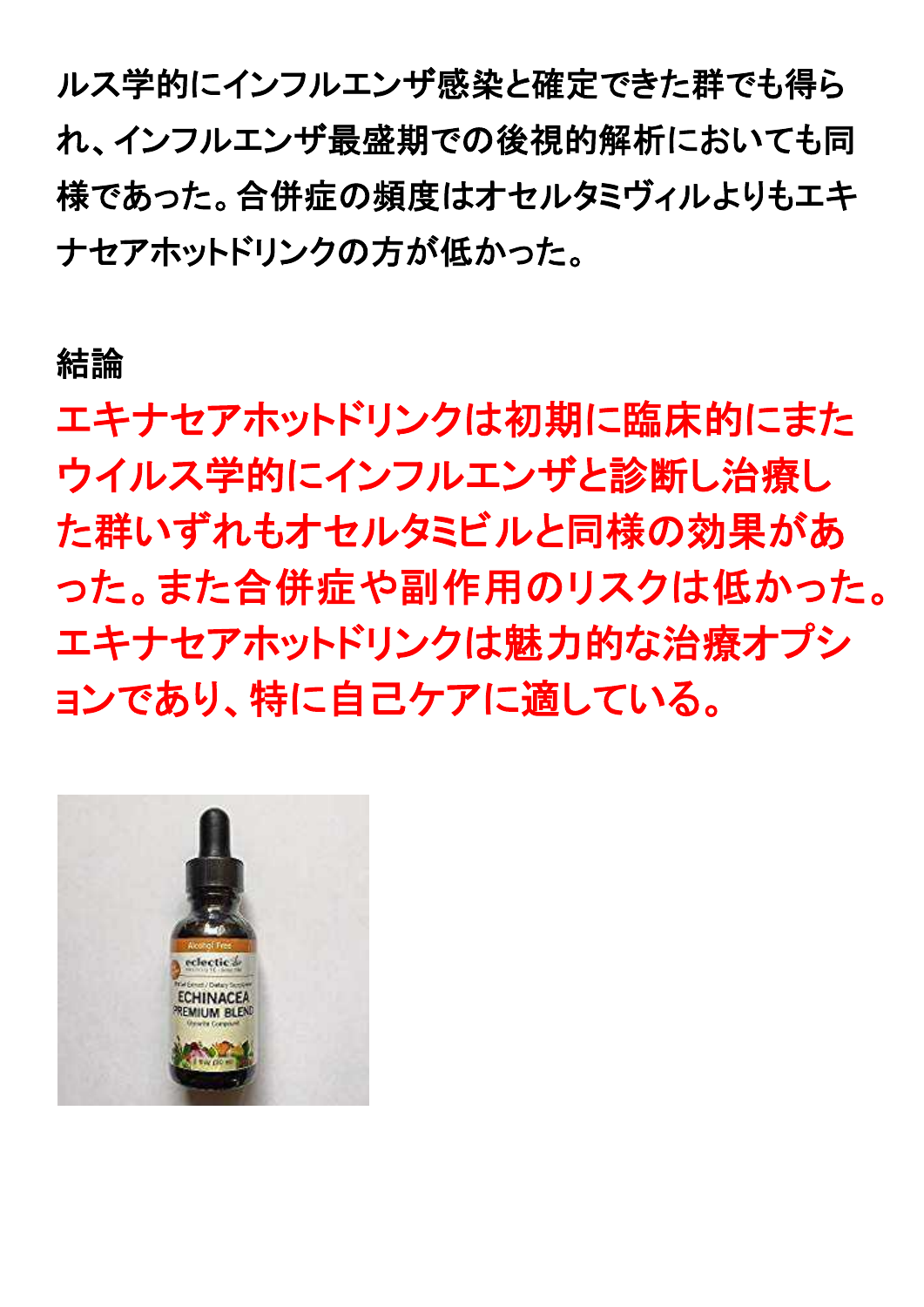ルス学的にインフルエンザ感染と確定できた群でも得ら れ、インフルエンザ最盛期での後視的解析においても同 様であった。合併症の頻度はオセルタミヴィルよりもエキ ナセアホットドリンクの方が低かった。

### 結論

エキナセアホットドリンクは初期に臨床的にまた ウイルス学的にインフルエンザと診断し治療し た群いずれもオセルタミビルと同様の効果があ った。また合併症や副作用のリスクは低かった。 エキナセアホットドリンクは魅力的な治療オプシ ョンであり、特に自己ケアに適している。

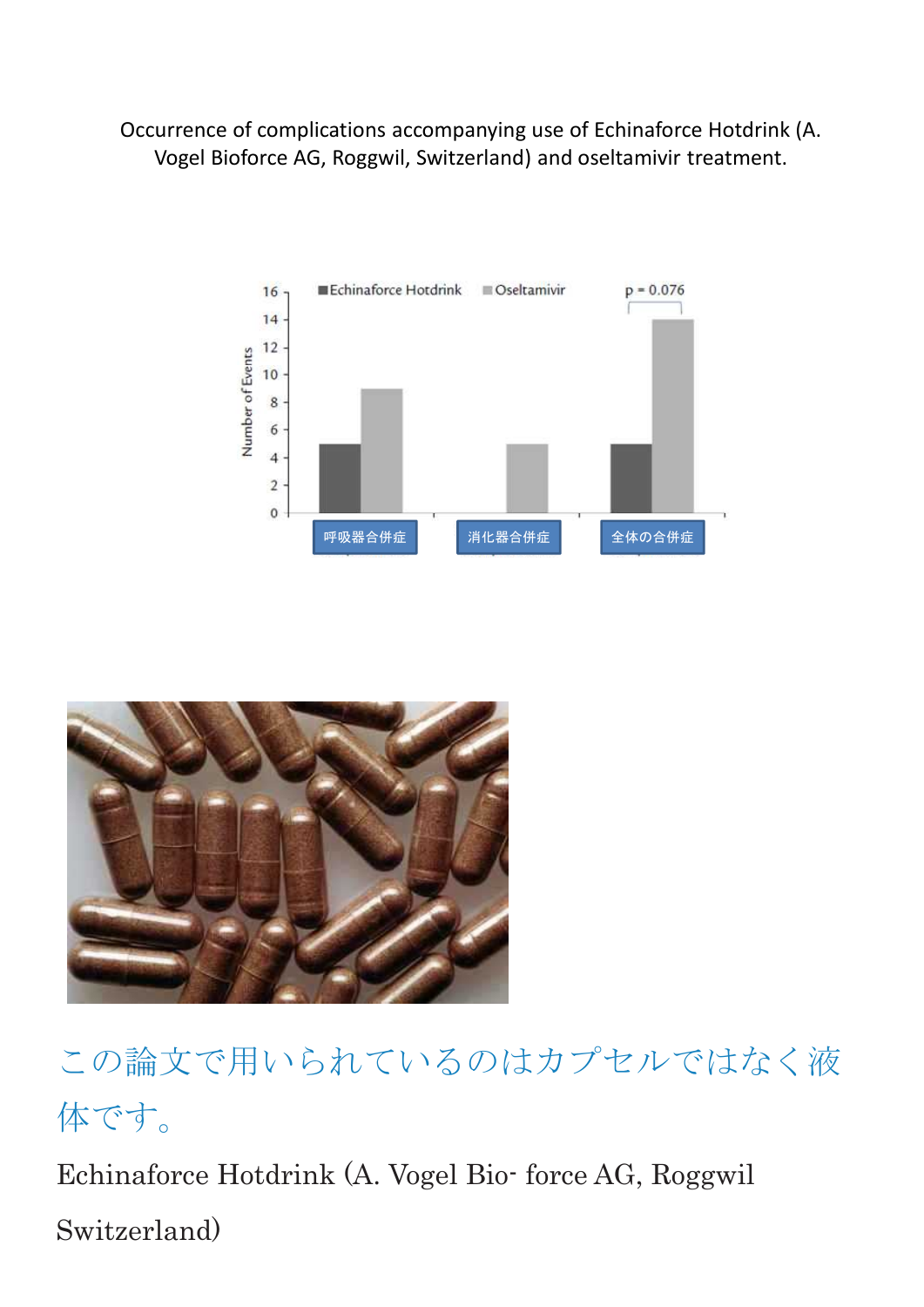Occurrence of complications accompanying use of Echinaforce Hotdrink (A. Vogel Bioforce AG, Roggwil, Switzerland) and oseltamivir treatment.





この論文で用いられているのはカプセルではなく液 体です。

Echinaforce Hotdrink (A. Vogel Bio- force AG, Roggwil Switzerland)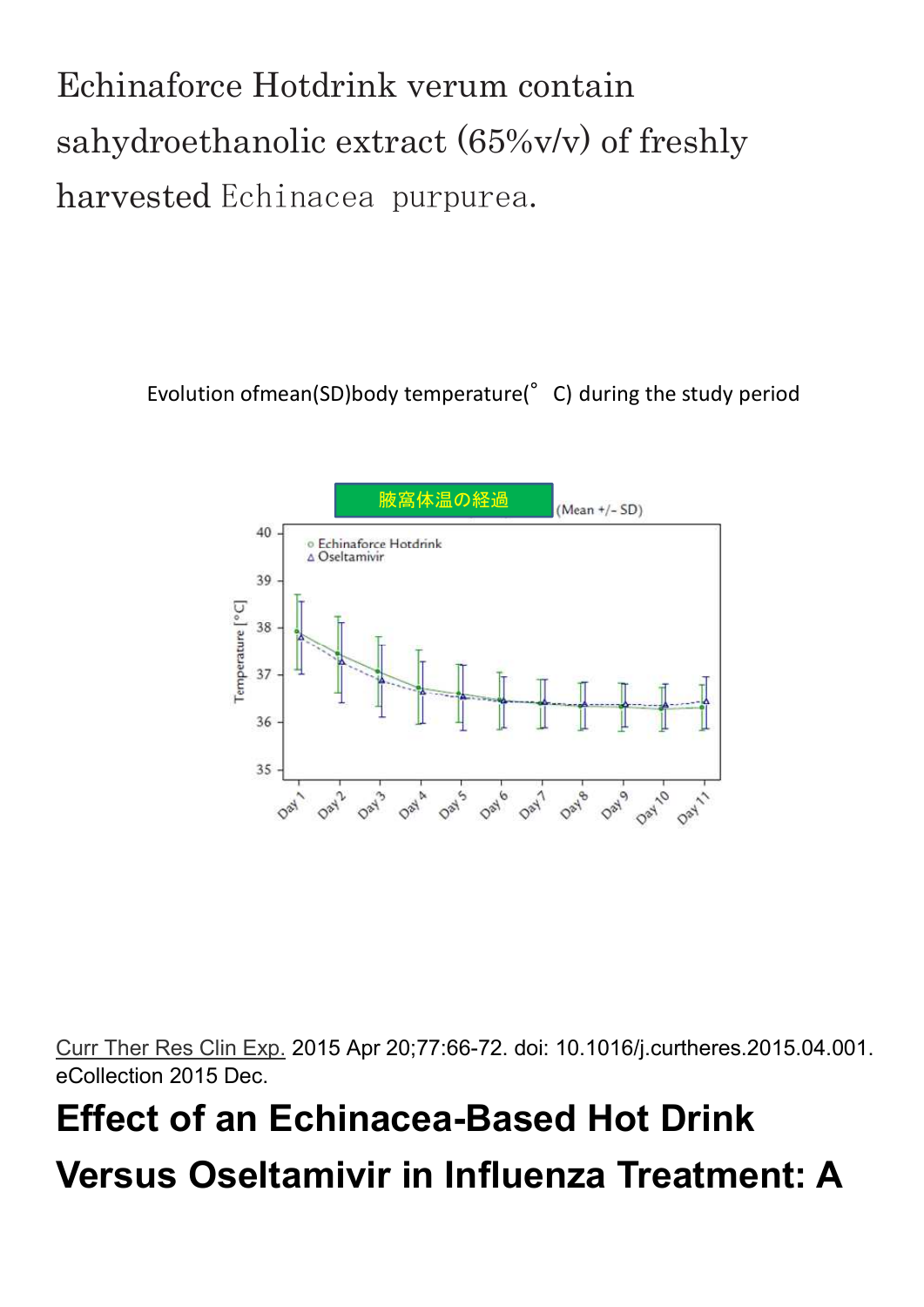Echinaforce Hotdrink verum contain sahydroethanolic extract (65%v/v) of freshly harvested Echinacea purpurea.

Evolution ofmean(SD)body temperature(°C) during the study period



Curr Ther Res Clin Exp. 2015 Apr 20;77:66-72. doi: 10.1016/j.curtheres.2015.04.001. eCollection 2015 Dec.

# **Effect of an Echinacea-Based Hot Drink Versus Oseltamivir in Influenza Treatment: A**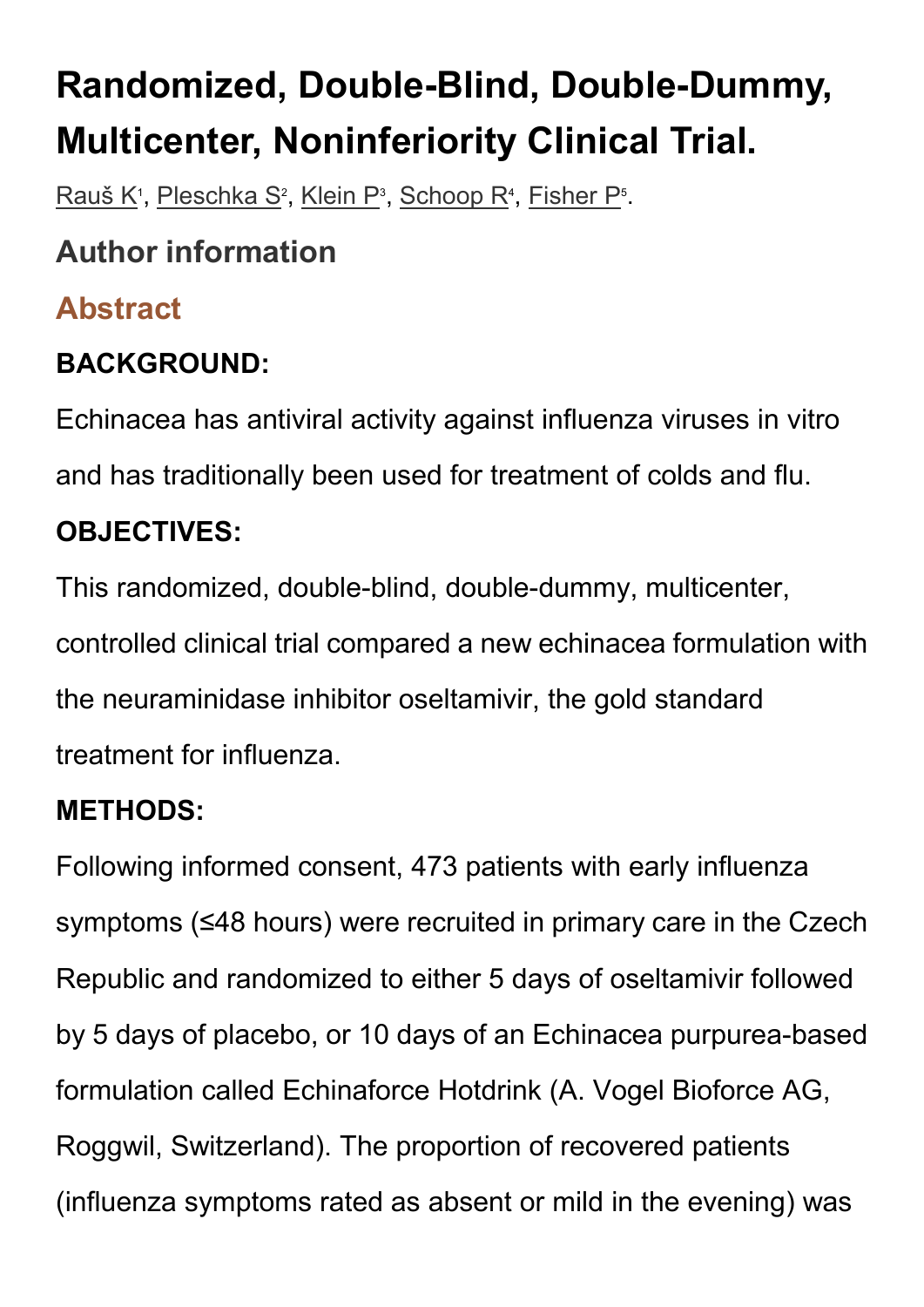# **Randomized, Double-Blind, Double-Dummy, Multicenter, Noninferiority Clinical Trial.**

<u>Rauš K</u><sup>1</sup>, <u>Pleschka S</u><sup>2</sup>, <u>Klein P</u><sup>3</sup>, <u>Schoop R<sup>4</sup>, Fisher P</u><sup>5</sup>.

## **Author information**

## **Abstract**

## **BACKGROUND:**

Echinacea has antiviral activity against influenza viruses in vitro and has traditionally been used for treatment of colds and flu.

#### **OBJECTIVES:**

This randomized, double-blind, double-dummy, multicenter, controlled clinical trial compared a new echinacea formulation with the neuraminidase inhibitor oseltamivir, the gold standard treatment for influenza.

### **METHODS:**

Following informed consent, 473 patients with early influenza symptoms (≤48 hours) were recruited in primary care in the Czech Republic and randomized to either 5 days of oseltamivir followed by 5 days of placebo, or 10 days of an Echinacea purpurea-based formulation called Echinaforce Hotdrink (A. Vogel Bioforce AG, Roggwil, Switzerland). The proportion of recovered patients (influenza symptoms rated as absent or mild in the evening) was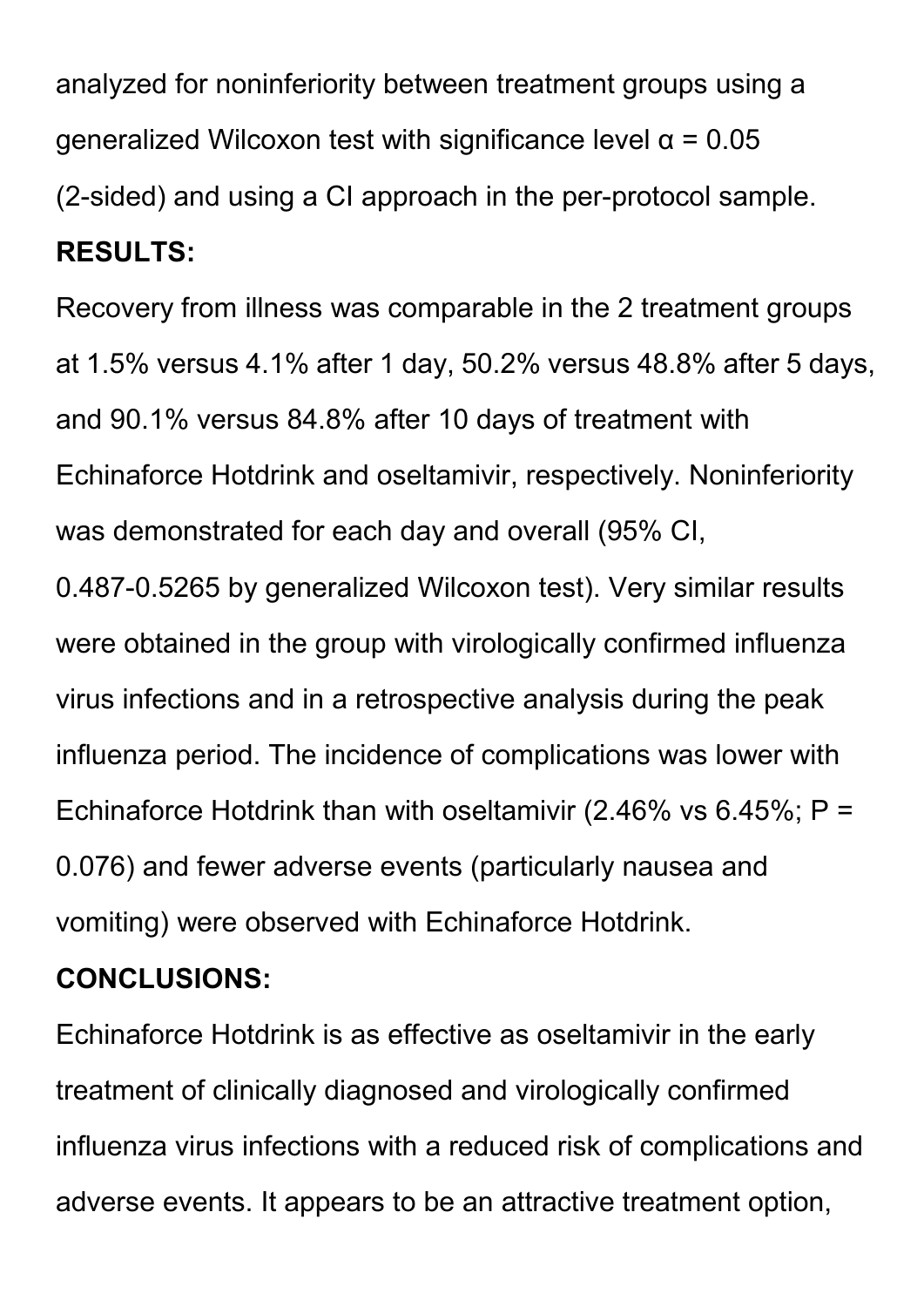analyzed for noninferiority between treatment groups using a generalized Wilcoxon test with significance level  $\alpha$  = 0.05 (2-sided) and using a CI approach in the per-protocol sample. **RESULTS:**

Recovery from illness was comparable in the 2 treatment groups at 1.5% versus 4.1% after 1 day, 50.2% versus 48.8% after 5 days, and 90.1% versus 84.8% after 10 days of treatment with Echinaforce Hotdrink and oseltamivir, respectively. Noninferiority was demonstrated for each day and overall (95% CI, 0.487-0.5265 by generalized Wilcoxon test). Very similar results were obtained in the group with virologically confirmed influenza virus infections and in a retrospective analysis during the peak influenza period. The incidence of complications was lower with

Echinaforce Hotdrink than with oseltamivir (2.46% vs 6.45%;  $P =$ 0.076) and fewer adverse events (particularly nausea and

vomiting) were observed with Echinaforce Hotdrink.

#### **CONCLUSIONS:**

Echinaforce Hotdrink is as effective as oseltamivir in the early treatment of clinically diagnosed and virologically confirmed influenza virus infections with a reduced risk of complications and adverse events. It appears to be an attractive treatment option,